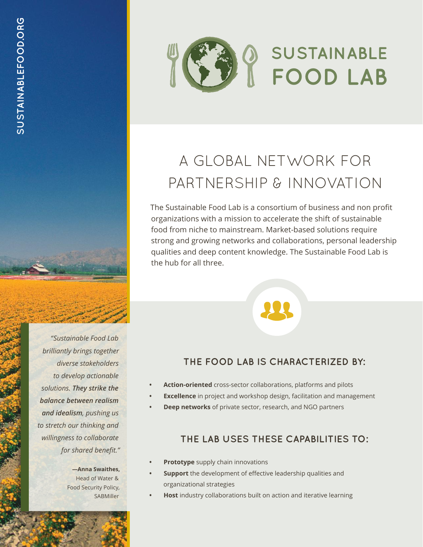# A GLOBAL NETWORK FOR PARTNERSHIP & INNOVATION

**SUSTAINABLE** 

FOOD LAB

The Sustainable Food Lab is a consortium of business and non profit organizations with a mission to accelerate the shift of sustainable food from niche to mainstream. Market-based solutions require strong and growing networks and collaborations, personal leadership qualities and deep content knowledge. The Sustainable Food Lab is the hub for all three.

*"Sustainable Food Lab brilliantly brings together diverse stakeholders to develop actionable solutions. They strike the balance between realism and idealism, pushing us to stretch our thinking and willingness to collaborate for shared benefit."*

> **—Anna Swaithes,** Head of Water & Food Security Policy, **SABMiller**

## **THE FOOD LAB IS CHARACTERIZED BY:**

- **Action-oriented** cross-sector collaborations, platforms and pilots
- **Excellence** in project and workshop design, facilitation and management
- **Deep networks** of private sector, research, and NGO partners

## **THE LAB USES THESE CAPABILITIES TO:**

- **Prototype** supply chain innovations
- **Support** the development of effective leadership qualities and organizational strategies
- **Host** industry collaborations built on action and iterative learning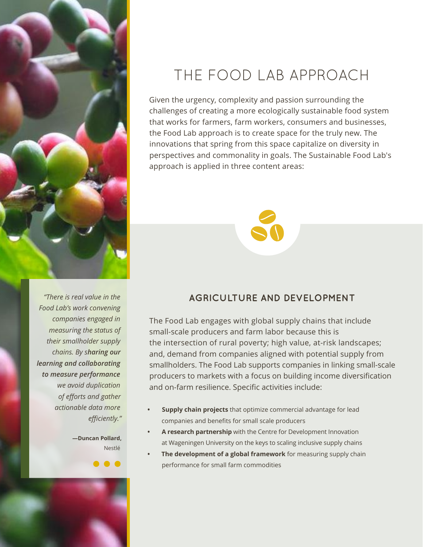

## THE FOOD LAB APPROACH

Given the urgency, complexity and passion surrounding the challenges of creating a more ecologically sustainable food system that works for farmers, farm workers, consumers and businesses, the Food Lab approach is to create space for the truly new. The innovations that spring from this space capitalize on diversity in perspectives and commonality in goals. The Sustainable Food Lab's approach is applied in three content areas:



*"There is real value in the Food Lab's work convening companies engaged in measuring the status of their smallholder supply chains. By sharing our learning and collaborating to measure performance we avoid duplication of efforts and gather actionable data more efficiently."*

> **—Duncan Pollard,** Nestlé

> > $\bullet$   $\bullet$

## **AGRICULTURE AND DEVELOPMENT**

The Food Lab engages with global supply chains that include small-scale producers and farm labor because this is the intersection of rural poverty; high value, at-risk landscapes; and, demand from companies aligned with potential supply from smallholders. The Food Lab supports companies in linking small-scale producers to markets with a focus on building income diversification and on-farm resilience. Specific activities include:

- **• Supply chain projects** that optimize commercial advantage for lead companies and benefits for small scale producers
- **• A research partnership** with the Centre for Development Innovation at Wageningen University on the keys to scaling inclusive supply chains
- **• The development of a global framework** for measuring supply chain performance for small farm commodities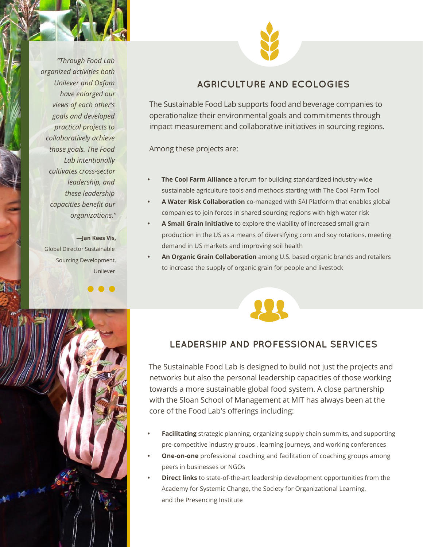*"Through Food Lab organized activities both Unilever and Oxfam have enlarged our views of each other's goals and developed practical projects to collaboratively achieve those goals. The Food Lab intentionally cultivates cross-sector leadership, and these leadership capacities benefit our organizations."*

**—Jan Kees Vis,** Global Director Sustainable Sourcing Development, Unilever

 $\bullet$ 



## **AGRICULTURE AND ECOLOGIES**

The Sustainable Food Lab supports food and beverage companies to operationalize their environmental goals and commitments through impact measurement and collaborative initiatives in sourcing regions.

Among these projects are:

- **• The Cool Farm Alliance** a forum for building standardized industry-wide sustainable agriculture tools and methods starting with The Cool Farm Tool
- **• A Water Risk Collaboration** co-managed with SAI Platform that enables global companies to join forces in shared sourcing regions with high water risk
- **• A Small Grain Initiative** to explore the viability of increased small grain production in the US as a means of diversifying corn and soy rotations, meeting demand in US markets and improving soil health
- **• An Organic Grain Collaboration** among U.S. based organic brands and retailers to increase the supply of organic grain for people and livestock



### **LEADERSHIP AND PROFESSIONAL SERVICES**

The Sustainable Food Lab is designed to build not just the projects and networks but also the personal leadership capacities of those working towards a more sustainable global food system. A close partnership with the Sloan School of Management at MIT has always been at the core of the Food Lab's offerings including:

- **• Facilitating** strategic planning, organizing supply chain summits, and supporting pre-competitive industry groups , learning journeys, and working conferences
- **• One-on-one** professional coaching and facilitation of coaching groups among peers in businesses or NGOs
- **• Direct links** to state-of-the-art leadership development opportunities from the Academy for Systemic Change, the Society for Organizational Learning, and the Presencing Institute